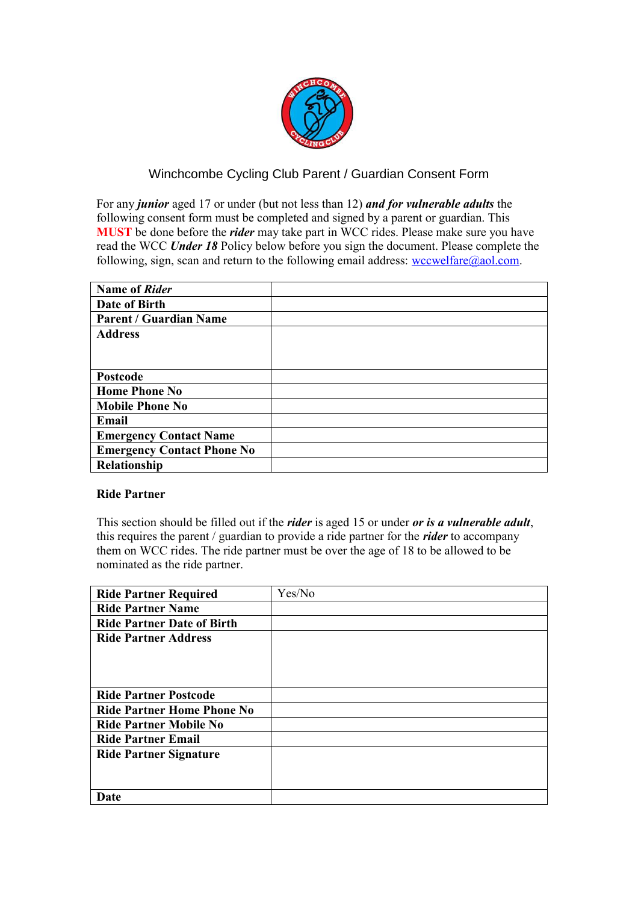

## Winchcombe Cycling Club Parent / Guardian Consent Form

For any *junior* aged 17 or under (but not less than 12) *and for vulnerable adults* the following consent form must be completed and signed by a parent or guardian. This **MUST** be done before the *rider* may take part in WCC rides. Please make sure you have read the WCC *Under 18* Policy below before you sign the document. Please complete the following, sign, scan and return to the following email address:  $wccwelfare@aol.com$ .

| <b>Name of Rider</b>              |  |
|-----------------------------------|--|
| Date of Birth                     |  |
| <b>Parent / Guardian Name</b>     |  |
| <b>Address</b>                    |  |
|                                   |  |
|                                   |  |
| <b>Postcode</b>                   |  |
| <b>Home Phone No</b>              |  |
| <b>Mobile Phone No</b>            |  |
| Email                             |  |
| <b>Emergency Contact Name</b>     |  |
| <b>Emergency Contact Phone No</b> |  |
| Relationship                      |  |

## **Ride Partner**

This section should be filled out if the *rider* is aged 15 or under *or is a vulnerable adult*, this requires the parent / guardian to provide a ride partner for the *rider* to accompany them on WCC rides. The ride partner must be over the age of 18 to be allowed to be nominated as the ride partner.

| <b>Ride Partner Required</b>      | Yes/No |
|-----------------------------------|--------|
| <b>Ride Partner Name</b>          |        |
| <b>Ride Partner Date of Birth</b> |        |
| <b>Ride Partner Address</b>       |        |
|                                   |        |
|                                   |        |
|                                   |        |
| <b>Ride Partner Postcode</b>      |        |
| <b>Ride Partner Home Phone No</b> |        |
| <b>Ride Partner Mobile No</b>     |        |
| <b>Ride Partner Email</b>         |        |
| <b>Ride Partner Signature</b>     |        |
|                                   |        |
|                                   |        |
| Date                              |        |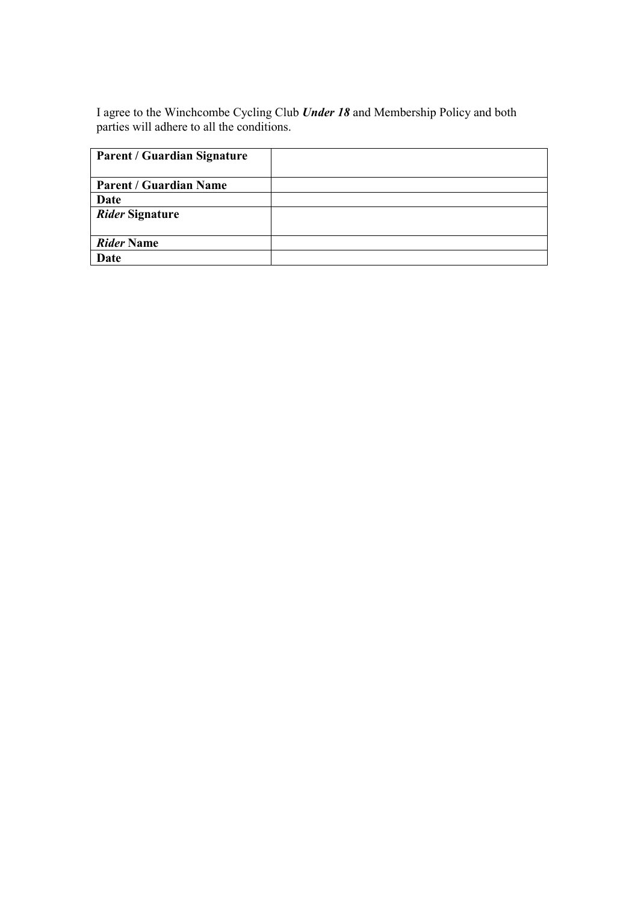I agree to the Winchcombe Cycling Club *Under 18* and Membership Policy and both parties will adhere to all the conditions.

| <b>Parent / Guardian Signature</b> |  |
|------------------------------------|--|
| <b>Parent / Guardian Name</b>      |  |
| Date                               |  |
| Rider Signature                    |  |
| <b>Rider Name</b>                  |  |
| Date                               |  |